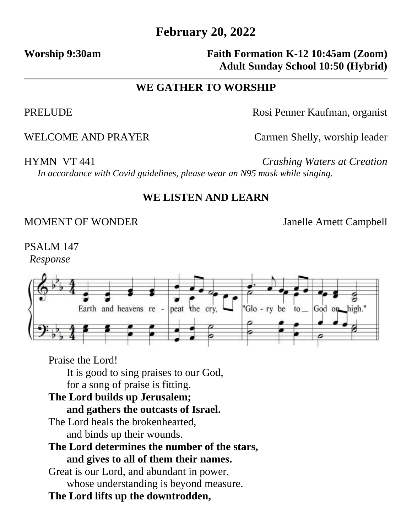# **February 20, 2022**

## Worship 9:30am **Faith Formation K-12 10:45am (Zoom) Adult Sunday School 10:50 (Hybrid)**

### **WE GATHER TO WORSHIP**

PRELUDE Rosi Penner Kaufman, organist

WELCOME AND PRAYER Carmen Shelly, worship leader

HYMN VT 441 *Crashing Waters at Creation In accordance with Covid guidelines, please wear an N95 mask while singing.* 

#### **WE LISTEN AND LEARN**

### MOMENT OF WONDER Janelle Arnett Campbell

PSALM 147 *Response*



Praise the Lord!

It is good to sing praises to our God,

for a song of praise is fitting.

#### **The Lord builds up Jerusalem;**

## **and gathers the outcasts of Israel.**

The Lord heals the brokenhearted, and binds up their wounds.

#### **The Lord determines the number of the stars, and gives to all of them their names.**

Great is our Lord, and abundant in power, whose understanding is beyond measure.

**The Lord lifts up the downtrodden,**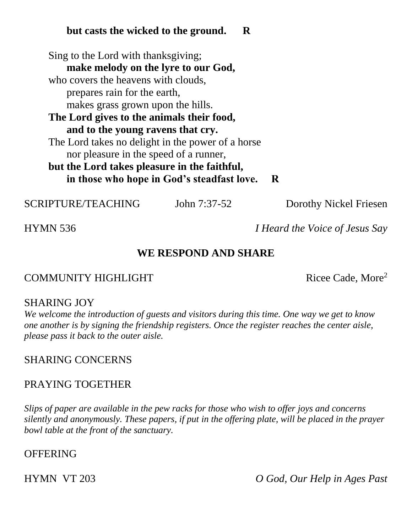### **but casts the wicked to the ground. R**

Sing to the Lord with thanksgiving; **make melody on the lyre to our God,** who covers the heavens with clouds, prepares rain for the earth, makes grass grown upon the hills. **The Lord gives to the animals their food, and to the young ravens that cry.** The Lord takes no delight in the power of a horse nor pleasure in the speed of a runner, **but the Lord takes pleasure in the faithful, in those who hope in God's steadfast love. R**

SCRIPTURE/TEACHING John 7:37-52 Dorothy Nickel Friesen

HYMN 536 *I Heard the Voice of Jesus Say*

## **WE RESPOND AND SHARE**

#### COMMUNITY HIGHLIGHT Ricee Cade, More<sup>2</sup>

#### SHARING JOY

*We welcome the introduction of guests and visitors during this time. One way we get to know one another is by signing the friendship registers. Once the register reaches the center aisle, please pass it back to the outer aisle.*

#### SHARING CONCERNS

#### PRAYING TOGETHER

*Slips of paper are available in the pew racks for those who wish to offer joys and concerns silently and anonymously. These papers, if put in the offering plate, will be placed in the prayer bowl table at the front of the sanctuary.* 

#### **OFFERING**

HYMN VT 203 *O God, Our Help in Ages Past*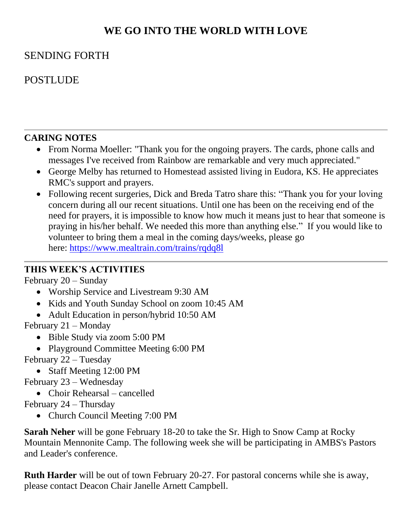# **WE GO INTO THE WORLD WITH LOVE**

## SENDING FORTH

# POSTLUDE

#### **CARING NOTES**

- From Norma Moeller: "Thank you for the ongoing prayers. The cards, phone calls and messages I've received from Rainbow are remarkable and very much appreciated."
- George Melby has returned to Homestead assisted living in Eudora, KS. He appreciates RMC's support and prayers.
- Following recent surgeries, Dick and Breda Tatro share this: "Thank you for your loving concern during all our recent situations. Until one has been on the receiving end of the need for prayers, it is impossible to know how much it means just to hear that someone is praying in his/her behalf. We needed this more than anything else." If you would like to volunteer to bring them a meal in the coming days/weeks, please go here: [https://www.mealtrain.com/trains/rqdq8l](https://rainbowmennonite.us7.list-manage.com/track/click?u=bbdfa70cc1049eb202968fd4c&id=fff3725b13&e=685e0d9f1e)

#### **THIS WEEK'S ACTIVITIES**

February 20 – Sunday

- Worship Service and Livestream 9:30 AM
- Kids and Youth Sunday School on zoom 10:45 AM
- Adult Education in person/hybrid 10:50 AM

February 21 – Monday

- Bible Study via zoom 5:00 PM
- Playground Committee Meeting 6:00 PM

February 22 – Tuesday

• Staff Meeting 12:00 PM

February 23 – Wednesday

• Choir Rehearsal – cancelled

February 24 – Thursday

• Church Council Meeting 7:00 PM

**Sarah Neher** will be gone February 18-20 to take the Sr. High to Snow Camp at Rocky Mountain Mennonite Camp. The following week she will be participating in AMBS's Pastors and Leader's conference.

**Ruth Harder** will be out of town February 20-27. For pastoral concerns while she is away, please contact Deacon Chair Janelle Arnett Campbell.